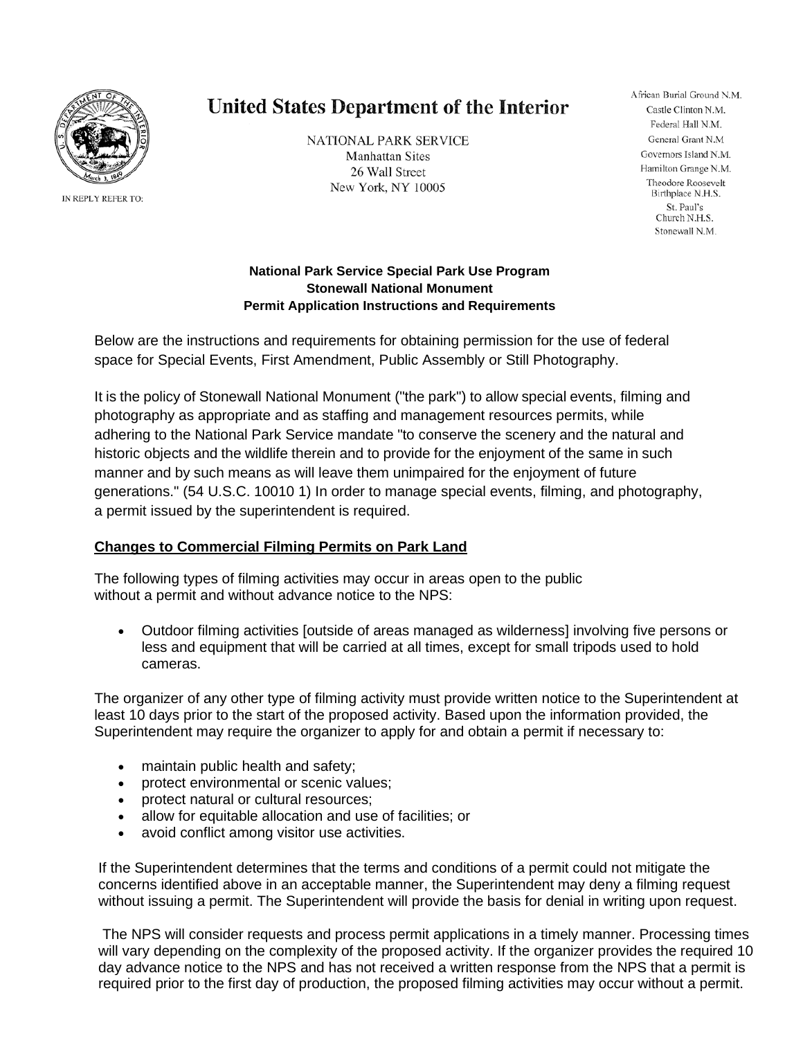

IN REPLY REFER TO:

# **United States Department of the Interior**

**NATIONAL PARK SERVICE Manhattan Sites** 26 Wall Street New York, NY 10005

African Burial Ground N.M. Castle Clinton N.M. Federal Hall N.M. General Grant N.M Governors Island N.M. Hamilton Grange N.M. Theodore Roosevelt Birthplace N.H.S. St. Paul's Church N.H.S. Stonewall N.M.

# **National Park Service Special Park Use Program Stonewall National Monument Permit Application Instructions and Requirements**

Below are the instructions and requirements for obtaining permission for the use of federal space for Special Events, First Amendment, Public Assembly or Still Photography.

It is the policy of Stonewall National Monument ("the park") to allow special events, filming and photography as appropriate and as staffing and management resources permits, while adhering to the National Park Service mandate "to conserve the scenery and the natural and historic objects and the wildlife therein and to provide for the enjoyment of the same in such manner and by such means as will leave them unimpaired for the enjoyment of future generations." (54 U.S.C. 10010 1) In order to manage special events, filming, and photography, a permit issued by the superintendent is required.

# **Changes to Commercial Filming Permits on Park Land**

The following types of filming activities may occur in areas open to the public without a permit and without advance notice to the NPS:

• Outdoor filming activities [outside of areas managed as wilderness] involving five persons or less and equipment that will be carried at all times, except for small tripods used to hold cameras.

The organizer of any other type of filming activity must provide written notice to the Superintendent at least 10 days prior to the start of the proposed activity. Based upon the information provided, the Superintendent may require the organizer to apply for and obtain a permit if necessary to:

- maintain public health and safety;
- protect environmental or scenic values;
- protect natural or cultural resources;
- allow for equitable allocation and use of facilities; or
- avoid conflict among visitor use activities.

If the Superintendent determines that the terms and conditions of a permit could not mitigate the concerns identified above in an acceptable manner, the Superintendent may deny a filming request without issuing a permit. The Superintendent will provide the basis for denial in writing upon request.

The NPS will consider requests and process permit applications in a timely manner. Processing times will vary depending on the complexity of the proposed activity. If the organizer provides the required 10 day advance notice to the NPS and has not received a written response from the NPS that a permit is required prior to the first day of production, the proposed filming activities may occur without a permit.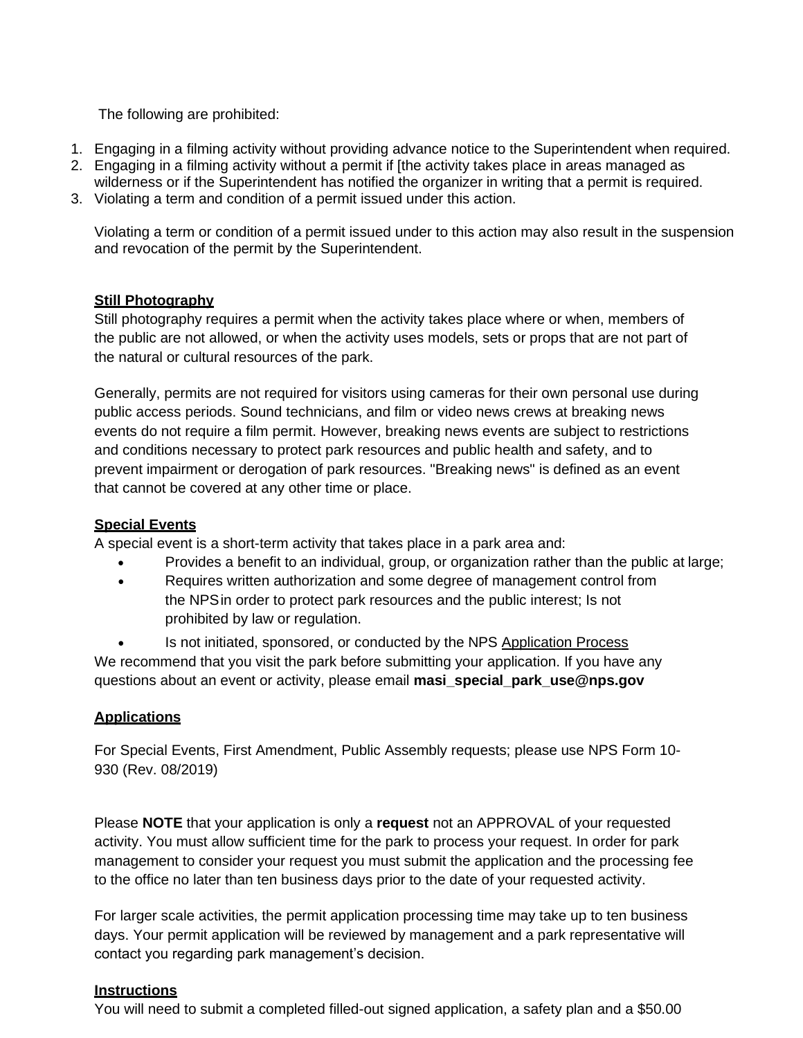The following are prohibited:

- 1. Engaging in a filming activity without providing advance notice to the Superintendent when required.
- 2. Engaging in a filming activity without a permit if [the activity takes place in areas managed as wilderness or if the Superintendent has notified the organizer in writing that a permit is required.
- 3. Violating a term and condition of a permit issued under this action.

Violating a term or condition of a permit issued under to this action may also result in the suspension and revocation of the permit by the Superintendent.

# **Still Photography**

Still photography requires a permit when the activity takes place where or when, members of the public are not allowed, or when the activity uses models, sets or props that are not part of the natural or cultural resources of the park.

Generally, permits are not required for visitors using cameras for their own personal use during public access periods. Sound technicians, and film or video news crews at breaking news events do not require a film permit. However, breaking news events are subject to restrictions and conditions necessary to protect park resources and public health and safety, and to prevent impairment or derogation of park resources. "Breaking news" is defined as an event that cannot be covered at any other time or place.

# **Special Events**

A special event is a short-term activity that takes place in a park area and:

- Provides a benefit to an individual, group, or organization rather than the public at large;
- Requires written authorization and some degree of management control from the NPSin order to protect park resources and the public interest; Is not prohibited by law or regulation.

Is not initiated, sponsored, or conducted by the NPS Application Process We recommend that you visit the park before submitting your application. If you have any questions about an event or activity, please email **[masi\\_special\\_park\\_use@nps.gov](mailto:masi_special_park_use@nps.gov)**

# **Applications**

For Special Events, First Amendment, Public Assembly requests; please use NPS Form 10- 930 (Rev. 08/2019)

Please **NOTE** that your application is only a **request** not an APPROVAL of your requested activity. You must allow sufficient time for the park to process your request. In order for park management to consider your request you must submit the application and the processing fee to the office no later than ten business days prior to the date of your requested activity.

For larger scale activities, the permit application processing time may take up to ten business days. Your permit application will be reviewed by management and a park representative will contact you regarding park management's decision.

#### **Instructions**

You will need to submit a completed filled-out signed application, a safety plan and a \$50.00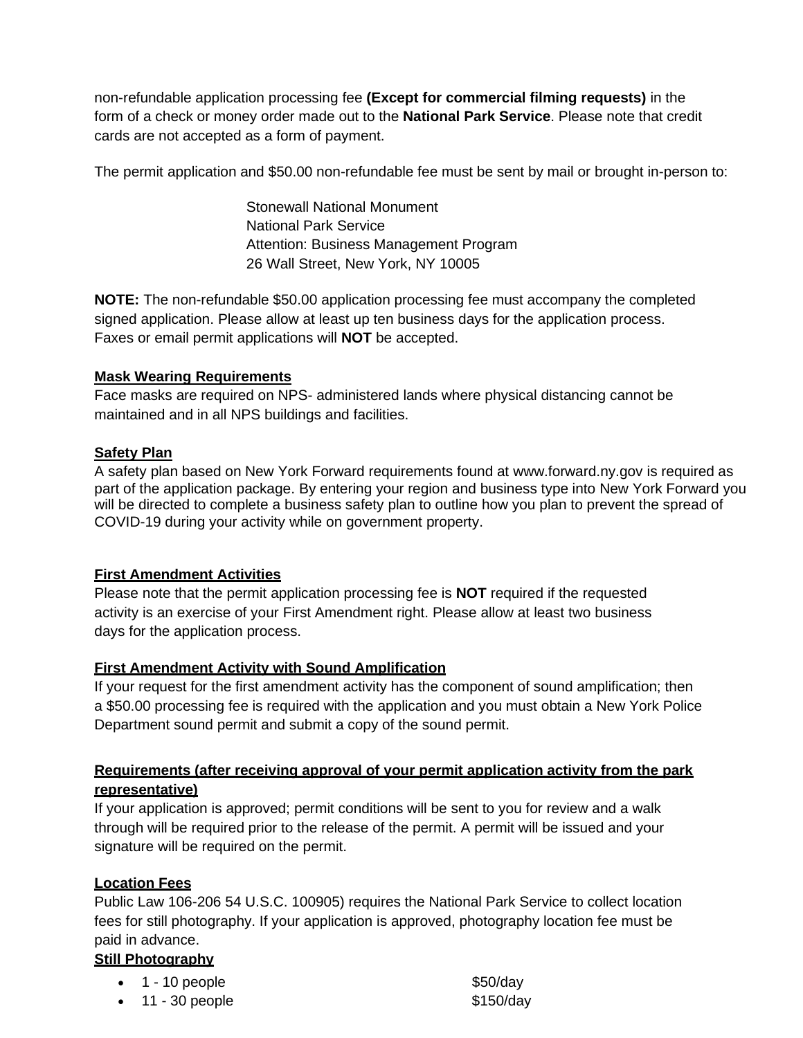non-refundable application processing fee **(Except for commercial filming requests)** in the form of a check or money order made out to the **National Park Service**. Please note that credit cards are not accepted as a form of payment.

The permit application and \$50.00 non-refundable fee must be sent by mail or brought in-person to:

Stonewall National Monument National Park Service Attention: Business Management Program 26 Wall Street, New York, NY 10005

**NOTE:** The non-refundable \$50.00 application processing fee must accompany the completed signed application. Please allow at least up ten business days for the application process. Faxes or email permit applications will **NOT** be accepted.

#### **Mask Wearing Requirements**

Face masks are required on NPS- administered lands where physical distancing cannot be maintained and in all NPS buildings and facilities.

### **Safety Plan**

A safety plan based on New York Forward requirements found at www.forward.ny.gov is required as part of the application package. By entering your region and business type into New York Forward you will be directed to complete a business safety plan to outline how you plan to prevent the spread of COVID-19 during your activity while on government property.

#### **First Amendment Activities**

Please note that the permit application processing fee is **NOT** required if the requested activity is an exercise of your First Amendment right. Please allow at least two business days for the application process.

#### **First Amendment Activity with Sound Amplification**

If your request for the first amendment activity has the component of sound amplification; then a \$50.00 processing fee is required with the application and you must obtain a New York Police Department sound permit and submit a copy of the sound permit.

# **Requirements (after receiving approval of your permit application activity from the park representative)**

If your application is approved; permit conditions will be sent to you for review and a walk through will be required prior to the release of the permit. A permit will be issued and your signature will be required on the permit.

# **Location Fees**

Public Law 106-206 54 U.S.C. 100905) requires the National Park Service to collect location fees for still photography. If your application is approved, photography location fee must be paid in advance.

# **Still Photography**

| $\bullet$ 1 - 10 people  | \$50/day  |
|--------------------------|-----------|
| $\bullet$ 11 - 30 people | \$150/day |